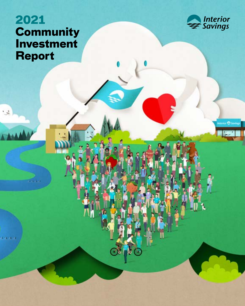# **2021 Community Investment Report**

**CERCE** 

. <u>،</u>



viterior **O** Savi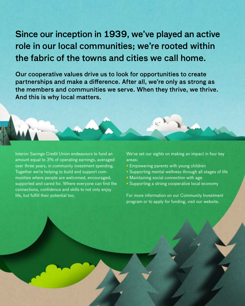# Since our inception in 1939, we've played an active role in our local communities; we're rooted within the fabric of the towns and cities we call home.

Our cooperative values drive us to look for opportunities to create partnerships and make a difference. After all, we're only as strong as the members and communities we serve. When they thrive, we thrive. And this is why local matters.

Interior Savings Credit Union endeavours to fund an amount equal to 3% of operating earnings, averaged over three years, in community investment spending. Together we're helping to build and support communities where people are welcomed, encouraged, supported and cared for. Where everyone can find the connections, confidence and skills to not only enjoy life, but fulfill their potential too.

We've set our sights on making an impact in four key areas:

- Empowering parents with young children
- Supporting mental wellness through all stages of life
- Maintaining social connection with age
- Supporting a strong cooperative local economy

For more information on our Community Investment program or to apply for funding, visit our website.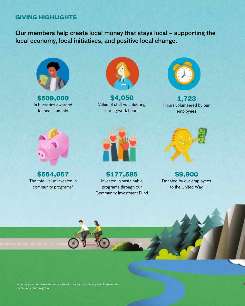## **GIVING HIGHLIGHTS**

Our members help create local money that stays local – supporting the local economy, local initiatives, and positive local change.



**\$509,000** In bursaries awarded to local students



**\$4,050**  Value of staff volunteering during work hours



**1,723** Hours volunteered by our employees



**\$554,067**  The total value invested in community programs $<sup>1</sup>$ </sup>



**\$177,586** Invested in sustainable programs through our Community Investment Fund



**\$9,900**  Donated by our employees to the United Way

<sup>1</sup>Includes program management costs such as our community events team, and community tent program.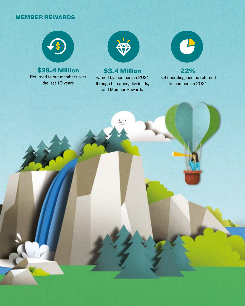## **MEMBER REWARDS**



**\$28.4 Million** Returned to our members over the last 10 years



# **\$3.4 Million**

Earned by members in 2021 through bursaries, dividends, and Member Rewards



**22%** Of operating income returned to members in 2021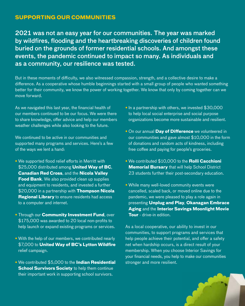## **SUPPORTING OUR COMMUNITIES**

2021 was not an easy year for our communities. The year was marked by wildfires, flooding and the heartbreaking discoveries of children found buried on the grounds of former residential schools. And amongst these events, the pandemic continued to impact so many. As individuals and as a community, our resilience was tested.

But in these moments of difficulty, we also witnessed compassion, strength, and a collective desire to make a difference. As a cooperative whose humble beginnings started with a small group of people who wanted something better for their community, we know the power of working together. We know that only by coming together can we move forward.

As we navigated this last year, the financial health of our members continued to be our focus. We were there to share knowledge, offer advice and help our members weather challenges while also looking to the future.

We continued to be active in our communities and supported many programs and services. Here's a few of the ways we lent a hand:

- We supported flood relief efforts in Merritt with \$25,000 distributed among **United Way of BC**, **Canadian Red Cross**, and the **Nicola Valley Food Bank**. We also provided clean up supplies and equipment to residents, and invested a further \$20,000 in a partnership with **Thompson Nicola Regional Library** to ensure residents had access to a computer and internet.
- Through our **Community Investment Fund**, over \$175,000 was awarded to 20 local non-profits to help launch or expand existing programs or services.
- With the help of our members, we contributed nearly \$7,000 to **United Way of BC's Lytton Wildfire** relief campaign.
- We contributed \$5,000 to the **Indian Residential School Survivors Society** to help them continue their important work in supporting school survivors.
- In a partnership with others, we invested \$30,000 to help local social enterprise and social purpose organizations become more sustainable and resilient.
- On our annual **Day of Difference** we volunteered in our communities and gave almost \$10,000 in the form of donations and random acts of kindness, including free coffee and paying for people's groceries.
- We contributed \$10,000 to the **Rolli Cacchioni Memorial Bursary** that will help School District 23 students further their post-secondary education.
- While many well-loved community events were cancelled, scaled back, or moved online due to the pandemic, we were pleased to play a role again in presenting **Unplug and Play**, **Okanagan Embrace Aging** and the **Interior Savings Moonlight Movie Tour** - drive-in edition.

As a local cooperative, our ability to invest in our communities, to support programs and services that help people achieve their potential, and offer a safety net when hardship occurs, is a direct result of your membership. When you choose Interior Savings for your financial needs, you help to make our communities stronger and more resilient.